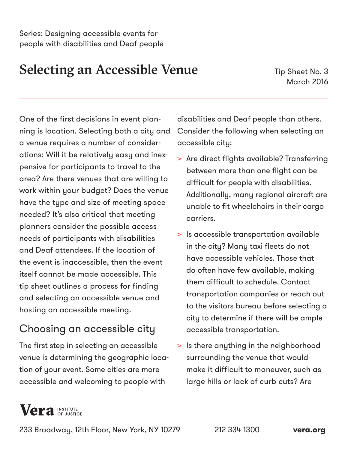## Selecting an Accessible Venue

Tip Sheet No. 3 March 2016

One of the first decisions in event planning is location. Selecting both a city and a venue requires a number of considerations: Will it be relatively easy and inexpensive for participants to travel to the area? Are there venues that are willing to work within your budget? Does the venue have the type and size of meeting space needed? It's also critical that meeting planners consider the possible access needs of participants with disabilities and Deaf attendees. If the location of the event is inaccessible, then the event itself cannot be made accessible. This tip sheet outlines a process for finding and selecting an accessible venue and hosting an accessible meeting.

## Choosing an accessible city

The first step in selecting an accessible venue is determining the geographic location of your event. Some cities are more accessible and welcoming to people with

disabilities and Deaf people than others. Consider the following when selecting an accessible city:

- > Are direct flights available? Transferring between more than one flight can be difficult for people with disabilities. Additionally, many regional aircraft are unable to fit wheelchairs in their cargo carriers.
- > Is accessible transportation available in the city? Many taxi fleets do not have accessible vehicles. Those that do often have few available, making them difficult to schedule. Contact transportation companies or reach out to the visitors bureau before selecting a city to determine if there will be ample accessible transportation.
- > Is there anything in the neighborhood surrounding the venue that would make it difficult to maneuver, such as large hills or lack of curb cuts? Are

# **Vera** INSTITUTE

233 Broadway, 12th Floor, New York, NY 10279 212 334 1300 **[vera.org](https://www.vera.org/)**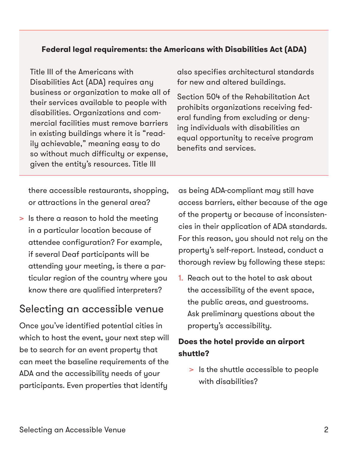#### **Federal legal requirements: the Americans with Disabilities Act (ADA)**

Title III of the Americans with Disabilities Act (ADA) requires any business or organization to make all of their services available to people with disabilities. Organizations and commercial facilities must remove barriers in existing buildings where it is "readily achievable," meaning easy to do so without much difficulty or expense, given the entity's resources. Title III

also specifies architectural standards for new and altered buildings.

Section 504 of the Rehabilitation Act prohibits organizations receiving federal funding from excluding or denying individuals with disabilities an equal opportunity to receive program benefits and services.

there accessible restaurants, shopping, or attractions in the general area?

> Is there a reason to hold the meeting in a particular location because of attendee configuration? For example, if several Deaf participants will be attending your meeting, is there a particular region of the country where you know there are qualified interpreters?

## Selecting an accessible venue

Once you've identified potential cities in which to host the event, your next step will be to search for an event property that can meet the baseline requirements of the ADA and the accessibility needs of your participants. Even properties that identify

as being ADA-compliant may still have access barriers, either because of the age of the property or because of inconsistencies in their application of ADA standards. For this reason, you should not rely on the property's self-report. Instead, conduct a thorough review by following these steps:

1. Reach out to the hotel to ask about the accessibility of the event space, the public areas, and guestrooms. Ask preliminary questions about the property's accessibility.

#### **Does the hotel provide an airport shuttle?**

> Is the shuttle accessible to people with disabilities?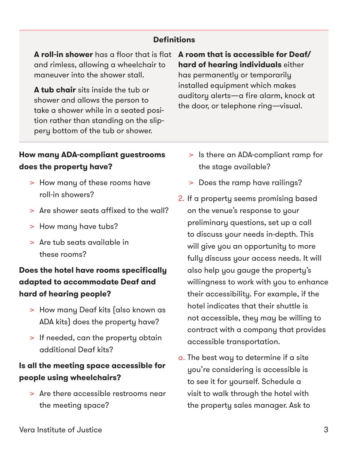#### **Definitions**

**A roll-in shower** has a floor that is flat **A room that is accessible for Deaf/** and rimless, allowing a wheelchair to maneuver into the shower stall.

**A tub chair** sits inside the tub or shower and allows the person to take a shower while in a seated position rather than standing on the slippery bottom of the tub or shower.

# **hard of hearing individuals** either

has permanently or temporarily installed equipment which makes auditory alerts—a fire alarm, knock at the door, or telephone ring—visual.

#### **How many ADA-compliant guestrooms does the property have?**

- > How many of these rooms have roll-in showers?
- > Are shower seats affixed to the wall?
- > How many have tubs?
- > Are tub seats available in these rooms?

#### **Does the hotel have rooms specifically adapted to accommodate Deaf and hard of hearing people?**

- > How many Deaf kits (also known as ADA kits) does the property have?
- > If needed, can the property obtain additional Deaf kits?

#### **Is all the meeting space accessible for people using wheelchairs?**

> Are there accessible restrooms near the meeting space?

- > Is there an ADA-compliant ramp for the stage available?
- > Does the ramp have railings?
- 2. If a property seems promising based on the venue's response to your preliminary questions, set up a call to discuss your needs in-depth. This will give you an opportunity to more fully discuss your access needs. It will also help you gauge the property's willingness to work with you to enhance their accessibility. For example, if the hotel indicates that their shuttle is not accessible, they may be willing to contract with a company that provides accessible transportation.
- a. The best way to determine if a site you're considering is accessible is to see it for yourself. Schedule a visit to walk through the hotel with the property sales manager. Ask to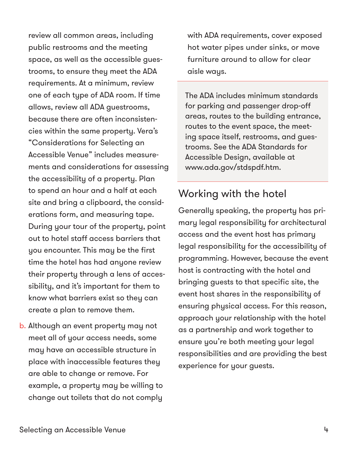review all common areas, including public restrooms and the meeting space, as well as the accessible guestrooms, to ensure they meet the ADA requirements. At a minimum, review one of each type of ADA room. If time allows, review all ADA guestrooms, because there are often inconsistencies within the same property. Vera's "Considerations for Selecting an Accessible Venue" includes measurements and considerations for assessing the accessibility of a property. Plan to spend an hour and a half at each site and bring a clipboard, the considerations form, and measuring tape. During your tour of the property, point out to hotel staff access barriers that you encounter. This may be the first time the hotel has had anyone review their property through a lens of accessibility, and it's important for them to know what barriers exist so they can create a plan to remove them.

b. Although an event property may not meet all of your access needs, some may have an accessible structure in place with inaccessible features they are able to change or remove. For example, a property may be willing to change out toilets that do not comply

with ADA requirements, cover exposed hot water pipes under sinks, or move furniture around to allow for clear aisle ways.

The ADA includes minimum standards for parking and passenger drop-off areas, routes to the building entrance, routes to the event space, the meeting space itself, restrooms, and guestrooms. See the ADA Standards for Accessible Design, available at [www.ada.gov/stdspdf.htm](http://www.ada.gov/stdspdf.htm).

### Working with the hotel

Generally speaking, the property has primary legal responsibility for architectural access and the event host has primary legal responsibility for the accessibility of programming. However, because the event host is contracting with the hotel and bringing guests to that specific site, the event host shares in the responsibility of ensuring physical access. For this reason, approach your relationship with the hotel as a partnership and work together to ensure you're both meeting your legal responsibilities and are providing the best experience for your guests.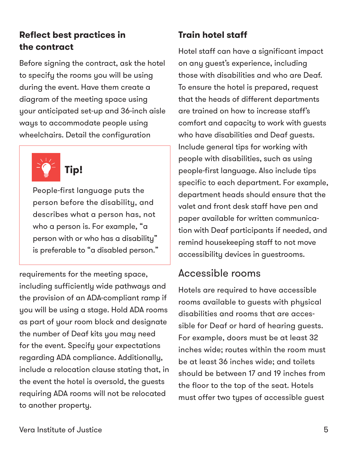#### **Reflect best practices in the contract**

Before signing the contract, ask the hotel to specify the rooms you will be using during the event. Have them create a diagram of the meeting space using your anticipated set-up and 36-inch aisle ways to accommodate people using wheelchairs. Detail the configuration



People-first language puts the

person before the disability, and describes what a person has, not who a person is. For example, "a person with or who has a disability" is preferable to "a disabled person."

requirements for the meeting space, including sufficiently wide pathways and the provision of an ADA-compliant ramp if you will be using a stage. Hold ADA rooms as part of your room block and designate the number of Deaf kits you may need for the event. Specify your expectations regarding ADA compliance. Additionally, include a relocation clause stating that, in the event the hotel is oversold, the guests requiring ADA rooms will not be relocated to another property.

## **Train hotel staff**

Hotel staff can have a significant impact on any guest's experience, including those with disabilities and who are Deaf. To ensure the hotel is prepared, request that the heads of different departments are trained on how to increase staff's comfort and capacity to work with guests who have disabilities and Deaf guests. Include general tips for working with people with disabilities, such as using people-first language. Also include tips specific to each department. For example, department heads should ensure that the valet and front desk staff have pen and paper available for written communication with Deaf participants if needed, and remind housekeeping staff to not move accessibility devices in guestrooms.

## Accessible rooms

Hotels are required to have accessible rooms available to guests with physical disabilities and rooms that are accessible for Deaf or hard of hearing guests. For example, doors must be at least 32 inches wide; routes within the room must be at least 36 inches wide; and toilets should be between 17 and 19 inches from the floor to the top of the seat. Hotels must offer two types of accessible guest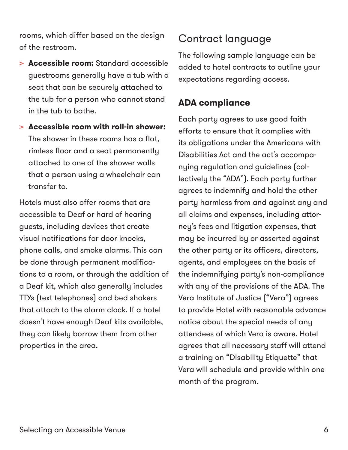rooms, which differ based on the design of the restroom.

- > **Accessible room:** Standard accessible guestrooms generally have a tub with a seat that can be securely attached to the tub for a person who cannot stand in the tub to bathe.
- > **Accessible room with roll-in shower:**  The shower in these rooms has a flat, rimless floor and a seat permanently attached to one of the shower walls that a person using a wheelchair can transfer to.

Hotels must also offer rooms that are accessible to Deaf or hard of hearing guests, including devices that create visual notifications for door knocks, phone calls, and smoke alarms. This can be done through permanent modifications to a room, or through the addition of a Deaf kit, which also generally includes TTYs (text telephones) and bed shakers that attach to the alarm clock. If a hotel doesn't have enough Deaf kits available, they can likely borrow them from other properties in the area.

## Contract language

The following sample language can be added to hotel contracts to outline your expectations regarding access.

#### **ADA compliance**

Each party agrees to use good faith efforts to ensure that it complies with its obligations under the Americans with Disabilities Act and the act's accompanying regulation and guidelines (collectively the "ADA"). Each party further agrees to indemnify and hold the other party harmless from and against any and all claims and expenses, including attorney's fees and litigation expenses, that may be incurred by or asserted against the other party or its officers, directors, agents, and employees on the basis of the indemnifying party's non-compliance with any of the provisions of the ADA. The Vera Institute of Justice ("Vera") agrees to provide Hotel with reasonable advance notice about the special needs of any attendees of which Vera is aware. Hotel agrees that all necessary staff will attend a training on "Disability Etiquette" that Vera will schedule and provide within one month of the program.